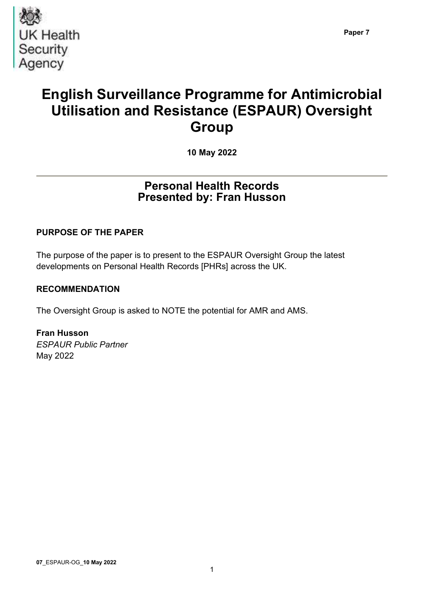

# English Surveillance Programme for Antimicrobial Utilisation and Resistance (ESPAUR) Oversight **Group**

10 May 2022

# Personal Health Records Presented by: Fran Husson

# PURPOSE OF THE PAPER

The purpose of the paper is to present to the ESPAUR Oversight Group the latest developments on Personal Health Records [PHRs] across the UK.

### RECOMMENDATION

The Oversight Group is asked to NOTE the potential for AMR and AMS.

Fran Husson ESPAUR Public Partner May 2022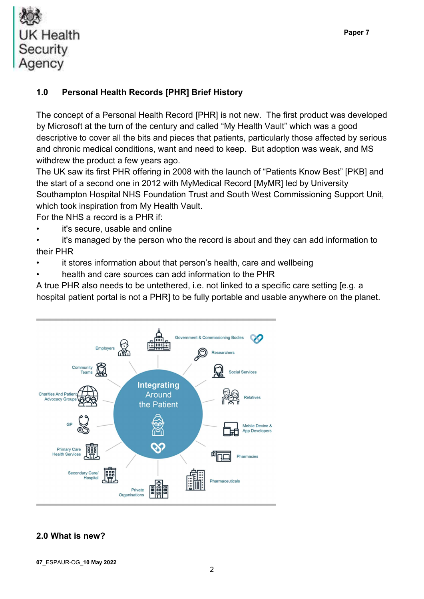

# 1.0 Personal Health Records [PHR] Brief History

The concept of a Personal Health Record [PHR] is not new. The first product was developed by Microsoft at the turn of the century and called "My Health Vault" which was a good descriptive to cover all the bits and pieces that patients, particularly those affected by serious and chronic medical conditions, want and need to keep. But adoption was weak, and MS withdrew the product a few years ago.

The UK saw its first PHR offering in 2008 with the launch of "Patients Know Best" [PKB] and the start of a second one in 2012 with MyMedical Record [MyMR] led by University Southampton Hospital NHS Foundation Trust and South West Commissioning Support Unit, which took inspiration from My Health Vault.

For the NHS a record is a PHR if:

it's secure, usable and online

it's managed by the person who the record is about and they can add information to their PHR

- it stores information about that person's health, care and wellbeing
- health and care sources can add information to the PHR

A true PHR also needs to be untethered, i.e. not linked to a specific care setting [e.g. a hospital patient portal is not a PHR] to be fully portable and usable anywhere on the planet.



# 2.0 What is new?

07\_ESPAUR-OG\_10 May 2022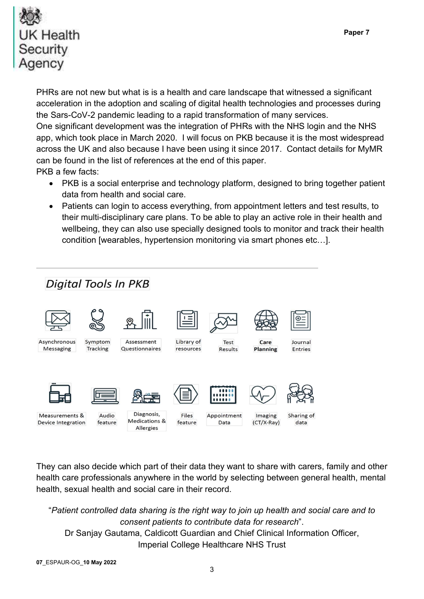

PHRs are not new but what is is a health and care landscape that witnessed a significant acceleration in the adoption and scaling of digital health technologies and processes during the Sars-CoV-2 pandemic leading to a rapid transformation of many services. One significant development was the integration of PHRs with the NHS login and the NHS app, which took place in March 2020. I will focus on PKB because it is the most widespread across the UK and also because I have been using it since 2017. Contact details for MyMR can be found in the list of references at the end of this paper. PKB a few facts:

- PKB is a social enterprise and technology platform, designed to bring together patient data from health and social care.
- Patients can login to access everything, from appointment letters and test results, to their multi-disciplinary care plans. To be able to play an active role in their health and wellbeing, they can also use specially designed tools to monitor and track their health condition [wearables, hypertension monitoring via smart phones etc…].



They can also decide which part of their data they want to share with carers, family and other health care professionals anywhere in the world by selecting between general health, mental health, sexual health and social care in their record.

"Patient controlled data sharing is the right way to join up health and social care and to consent patients to contribute data for research". Dr Sanjay Gautama, Caldicott Guardian and Chief Clinical Information Officer, Imperial College Healthcare NHS Trust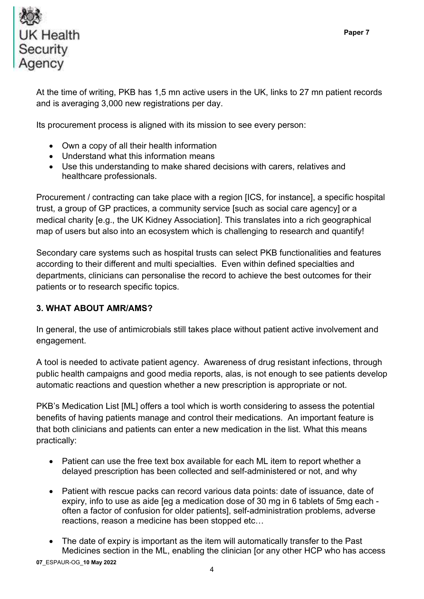

At the time of writing, PKB has 1,5 mn active users in the UK, links to 27 mn patient records and is averaging 3,000 new registrations per day.

Its procurement process is aligned with its mission to see every person:

- Own a copy of all their health information
- Understand what this information means
- Use this understanding to make shared decisions with carers, relatives and healthcare professionals.

Procurement / contracting can take place with a region [ICS, for instance], a specific hospital trust, a group of GP practices, a community service [such as social care agency] or a medical charity [e.g., the UK Kidney Association]. This translates into a rich geographical map of users but also into an ecosystem which is challenging to research and quantify!

Secondary care systems such as hospital trusts can select PKB functionalities and features according to their different and multi specialties. Even within defined specialties and departments, clinicians can personalise the record to achieve the best outcomes for their patients or to research specific topics.

# 3. WHAT ABOUT AMR/AMS?

In general, the use of antimicrobials still takes place without patient active involvement and engagement.

A tool is needed to activate patient agency. Awareness of drug resistant infections, through public health campaigns and good media reports, alas, is not enough to see patients develop automatic reactions and question whether a new prescription is appropriate or not.

PKB's Medication List [ML] offers a tool which is worth considering to assess the potential benefits of having patients manage and control their medications. An important feature is that both clinicians and patients can enter a new medication in the list. What this means practically:

- Patient can use the free text box available for each ML item to report whether a delayed prescription has been collected and self-administered or not, and why
- Patient with rescue packs can record various data points: date of issuance, date of expiry, info to use as aide [eg a medication dose of 30 mg in 6 tablets of 5mg each often a factor of confusion for older patients], self-administration problems, adverse reactions, reason a medicine has been stopped etc…
- The date of expiry is important as the item will automatically transfer to the Past Medicines section in the ML, enabling the clinician [or any other HCP who has access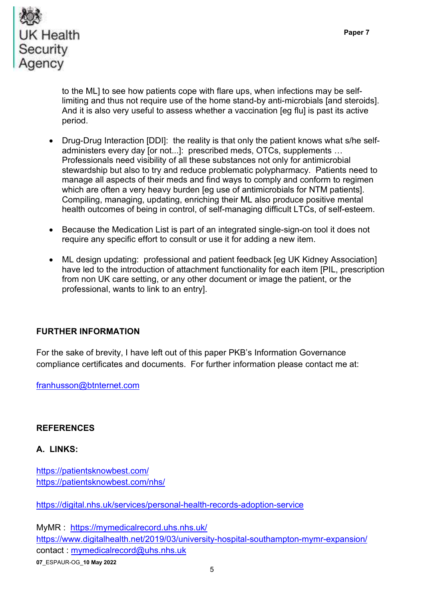

to the ML] to see how patients cope with flare ups, when infections may be selflimiting and thus not require use of the home stand-by anti-microbials [and steroids]. And it is also very useful to assess whether a vaccination [eg flu] is past its active period.

- Drug-Drug Interaction [DDI]: the reality is that only the patient knows what s/he selfadministers every day [or not...]: prescribed meds, OTCs, supplements … Professionals need visibility of all these substances not only for antimicrobial stewardship but also to try and reduce problematic polypharmacy. Patients need to manage all aspects of their meds and find ways to comply and conform to regimen which are often a very heavy burden [eg use of antimicrobials for NTM patients]. Compiling, managing, updating, enriching their ML also produce positive mental health outcomes of being in control, of self-managing difficult LTCs, of self-esteem.
- Because the Medication List is part of an integrated single-sign-on tool it does not require any specific effort to consult or use it for adding a new item.
- ML design updating: professional and patient feedback [eg UK Kidney Association] have led to the introduction of attachment functionality for each item [PIL, prescription from non UK care setting, or any other document or image the patient, or the professional, wants to link to an entry].

#### FURTHER INFORMATION

For the sake of brevity, I have left out of this paper PKB's Information Governance compliance certificates and documents. For further information please contact me at:

franhusson@btnternet.com

#### **REFERENCES**

#### A. LINKS:

https://patientsknowbest.com/ https://patientsknowbest.com/nhs/

https://digital.nhs.uk/services/personal-health-records-adoption-service

07\_ESPAUR-OG\_10 May 2022 MyMR : https://mymedicalrecord.uhs.nhs.uk/ https://www.digitalhealth.net/2019/03/university-hospital-southampton-mymr-expansion/ contact : mymedicalrecord@uhs.nhs.uk